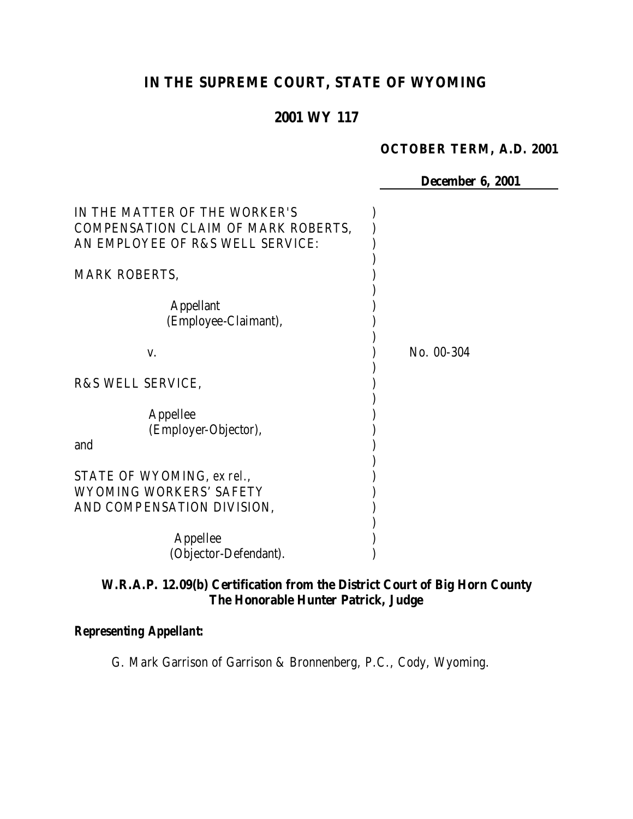# **IN THE SUPREME COURT, STATE OF WYOMING**

# **2001 WY 117**

#### **OCTOBER TERM, A.D. 2001**

**December 6, 2001**

| IN THE MATTER OF THE WORKER'S<br>COMPENSATION CLAIM OF MARK ROBERTS,<br>AN EMPLOYEE OF R&S WELL SERVICE: |            |
|----------------------------------------------------------------------------------------------------------|------------|
| <b>MARK ROBERTS,</b>                                                                                     |            |
| <b>Appellant</b><br>(Employee-Claimant),                                                                 |            |
| V.                                                                                                       | No. 00-304 |
| R&S WELL SERVICE,                                                                                        |            |
| Appellee<br>(Employer-Objector),<br>and                                                                  |            |
| STATE OF WYOMING, ex rel.,<br>WYOMING WORKERS' SAFETY<br>AND COMPENSATION DIVISION,                      |            |
| Appellee<br>(Objector-Defendant).                                                                        |            |

# **W.R.A.P. 12.09(b) Certification from the District Court of Big Horn County The Honorable Hunter Patrick, Judge**

## *Representing Appellant:*

G. Mark Garrison of Garrison & Bronnenberg, P.C., Cody, Wyoming.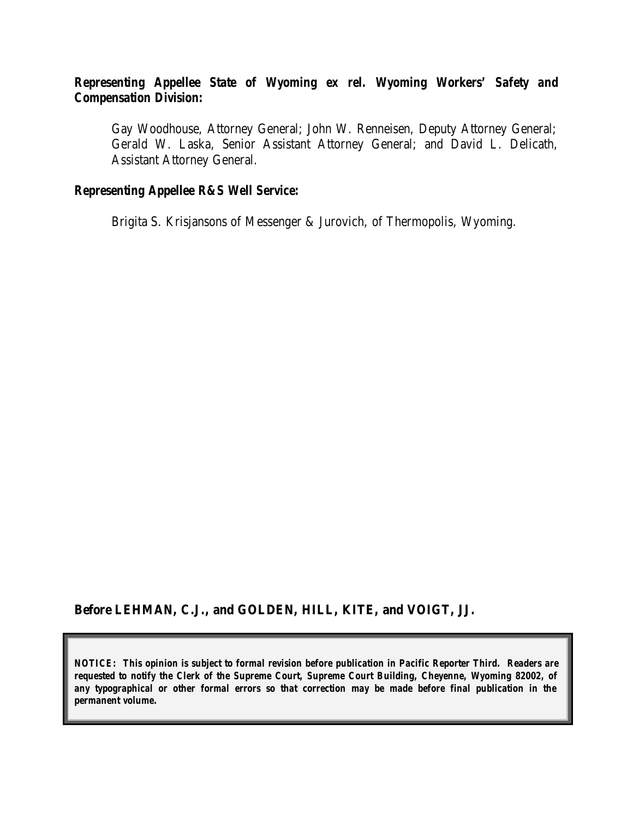### *Representing Appellee State of Wyoming ex rel. Wyoming Workers' Safety and Compensation Division:*

Gay Woodhouse, Attorney General; John W. Renneisen, Deputy Attorney General; Gerald W. Laska, Senior Assistant Attorney General; and David L. Delicath, Assistant Attorney General.

#### *Representing Appellee R&S Well Service:*

Brigita S. Krisjansons of Messenger & Jurovich, of Thermopolis, Wyoming.

#### **Before LEHMAN, C.J., and GOLDEN, HILL, KITE, and VOIGT, JJ.**

*NOTICE: This opinion is subject to formal revision before publication in Pacific Reporter Third. Readers are requested to notify the Clerk of the Supreme Court, Supreme Court Building, Cheyenne, Wyoming 82002, of any typographical or other formal errors so that correction may be made before final publication in the permanent volume.*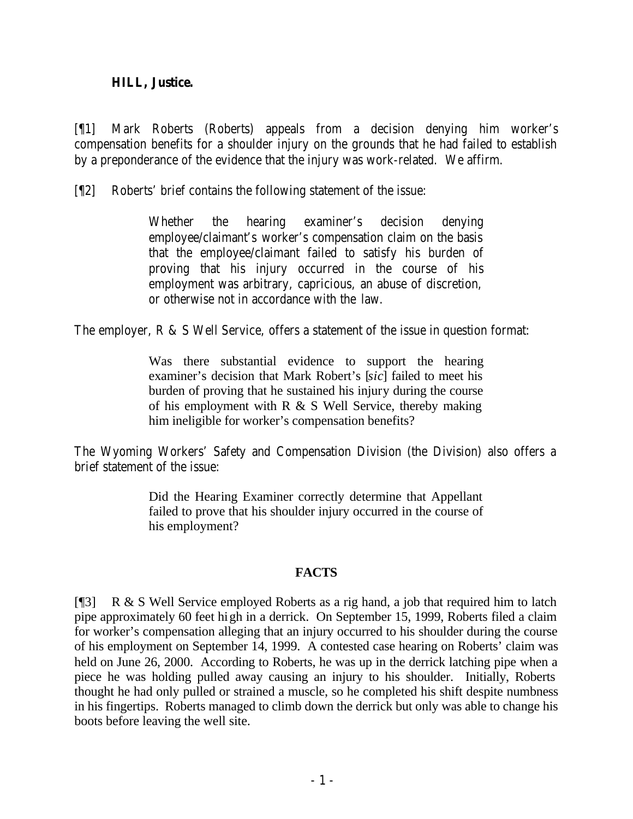#### **HILL, Justice.**

[¶1] Mark Roberts (Roberts) appeals from a decision denying him worker's compensation benefits for a shoulder injury on the grounds that he had failed to establish by a preponderance of the evidence that the injury was work-related. We affirm.

[¶2] Roberts' brief contains the following statement of the issue:

Whether the hearing examiner's decision denying employee/claimant's worker's compensation claim on the basis that the employee/claimant failed to satisfy his burden of proving that his injury occurred in the course of his employment was arbitrary, capricious, an abuse of discretion, or otherwise not in accordance with the law.

The employer, R & S Well Service, offers a statement of the issue in question format:

Was there substantial evidence to support the hearing examiner's decision that Mark Robert's [*sic*] failed to meet his burden of proving that he sustained his injury during the course of his employment with R & S Well Service, thereby making him ineligible for worker's compensation benefits?

The Wyoming Workers' Safety and Compensation Division (the Division) also offers a brief statement of the issue:

> Did the Hearing Examiner correctly determine that Appellant failed to prove that his shoulder injury occurred in the course of his employment?

#### **FACTS**

[¶3] R & S Well Service employed Roberts as a rig hand, a job that required him to latch pipe approximately 60 feet high in a derrick. On September 15, 1999, Roberts filed a claim for worker's compensation alleging that an injury occurred to his shoulder during the course of his employment on September 14, 1999. A contested case hearing on Roberts' claim was held on June 26, 2000. According to Roberts, he was up in the derrick latching pipe when a piece he was holding pulled away causing an injury to his shoulder. Initially, Roberts thought he had only pulled or strained a muscle, so he completed his shift despite numbness in his fingertips. Roberts managed to climb down the derrick but only was able to change his boots before leaving the well site.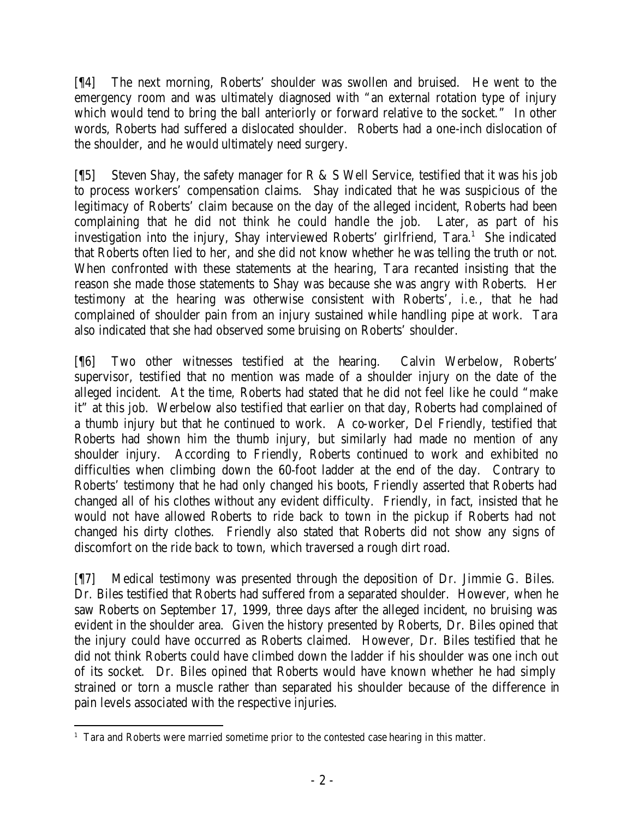[¶4] The next morning, Roberts' shoulder was swollen and bruised. He went to the emergency room and was ultimately diagnosed with "an external rotation type of injury which would tend to bring the ball anteriorly or forward relative to the socket." In other words, Roberts had suffered a dislocated shoulder. Roberts had a one-inch dislocation of the shoulder, and he would ultimately need surgery.

[¶5] Steven Shay, the safety manager for R & S Well Service, testified that it was his job to process workers' compensation claims. Shay indicated that he was suspicious of the legitimacy of Roberts' claim because on the day of the alleged incident, Roberts had been complaining that he did not think he could handle the job. Later, as part of his investigation into the injury, Shay interviewed Roberts' girlfriend, Tara.<sup>1</sup> She indicated that Roberts often lied to her, and she did not know whether he was telling the truth or not. When confronted with these statements at the hearing, Tara recanted insisting that the reason she made those statements to Shay was because she was angry with Roberts. Her testimony at the hearing was otherwise consistent with Roberts', *i.e.*, that he had complained of shoulder pain from an injury sustained while handling pipe at work. Tara also indicated that she had observed some bruising on Roberts' shoulder.

[¶6] Two other witnesses testified at the hearing. Calvin Werbelow, Roberts' supervisor, testified that no mention was made of a shoulder injury on the date of the alleged incident. At the time, Roberts had stated that he did not feel like he could "make it" at this job. Werbelow also testified that earlier on that day, Roberts had complained of a thumb injury but that he continued to work. A co-worker, Del Friendly, testified that Roberts had shown him the thumb injury, but similarly had made no mention of any shoulder injury. According to Friendly, Roberts continued to work and exhibited no difficulties when climbing down the 60-foot ladder at the end of the day. Contrary to Roberts' testimony that he had only changed his boots, Friendly asserted that Roberts had changed all of his clothes without any evident difficulty. Friendly, in fact, insisted that he would not have allowed Roberts to ride back to town in the pickup if Roberts had not changed his dirty clothes. Friendly also stated that Roberts did not show any signs of discomfort on the ride back to town, which traversed a rough dirt road.

[¶7] Medical testimony was presented through the deposition of Dr. Jimmie G. Biles. Dr. Biles testified that Roberts had suffered from a separated shoulder. However, when he saw Roberts on September 17, 1999, three days after the alleged incident, no bruising was evident in the shoulder area. Given the history presented by Roberts, Dr. Biles opined that the injury could have occurred as Roberts claimed. However, Dr. Biles testified that he did not think Roberts could have climbed down the ladder if his shoulder was one inch out of its socket. Dr. Biles opined that Roberts would have known whether he had simply strained or torn a muscle rather than separated his shoulder because of the difference in pain levels associated with the respective injuries.

 <sup>1</sup> Tara and Roberts were married sometime prior to the contested case hearing in this matter.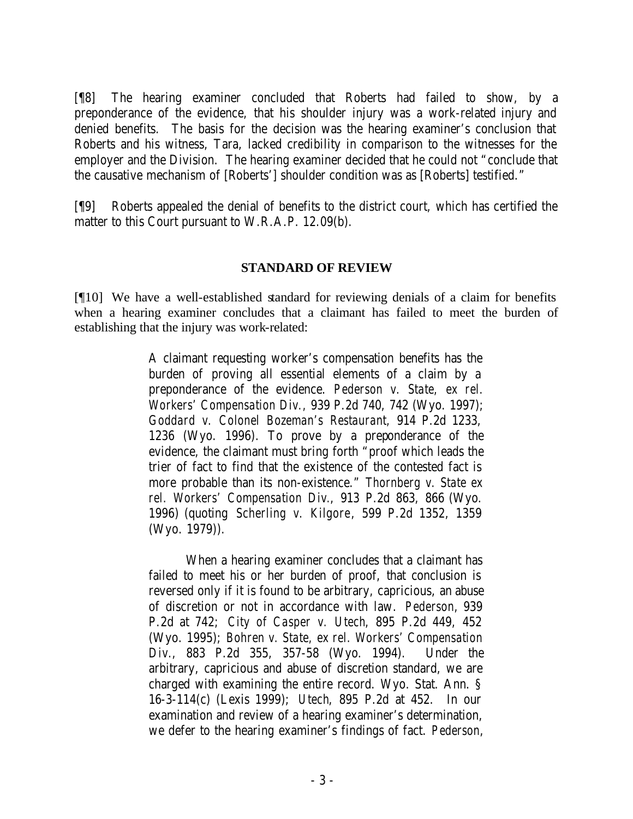[¶8] The hearing examiner concluded that Roberts had failed to show, by a preponderance of the evidence, that his shoulder injury was a work-related injury and denied benefits. The basis for the decision was the hearing examiner's conclusion that Roberts and his witness, Tara, lacked credibility in comparison to the witnesses for the employer and the Division. The hearing examiner decided that he could not "conclude that the causative mechanism of [Roberts'] shoulder condition was as [Roberts] testified."

[¶9] Roberts appealed the denial of benefits to the district court, which has certified the matter to this Court pursuant to W.R.A.P. 12.09(b).

#### **STANDARD OF REVIEW**

[¶10] We have a well-established standard for reviewing denials of a claim for benefits when a hearing examiner concludes that a claimant has failed to meet the burden of establishing that the injury was work-related:

> A claimant requesting worker's compensation benefits has the burden of proving all essential elements of a claim by a preponderance of the evidence. *Pederson v. State, ex rel. Workers' Compensation Div.,* 939 P.2d 740, 742 (Wyo. 1997); *Goddard v. Colonel Bozeman's Restaurant,* 914 P.2d 1233, 1236 (Wyo. 1996). To prove by a preponderance of the evidence, the claimant must bring forth "proof which leads the trier of fact to find that the existence of the contested fact is more probable than its non-existence." *Thornberg v. State ex rel. Workers' Compensation Div.*, 913 P.2d 863, 866 (Wyo. 1996) (quoting *Scherling v. Kilgore*, 599 P.2d 1352, 1359 (Wyo. 1979)).

> When a hearing examiner concludes that a claimant has failed to meet his or her burden of proof, that conclusion is reversed only if it is found to be arbitrary, capricious, an abuse of discretion or not in accordance with law. *Pederson*, 939 P.2d at 742; *City of Casper v. Utech*, 895 P.2d 449, 452 (Wyo. 1995); *Bohren v. State, ex rel. Workers' Compensation Div.*, 883 P.2d 355, 357-58 (Wyo. 1994). Under the arbitrary, capricious and abuse of discretion standard, we are charged with examining the entire record. Wyo. Stat. Ann. § 16-3-114(c) (Lexis 1999); *Utech*, 895 P.2d at 452. In our examination and review of a hearing examiner's determination, we defer to the hearing examiner's findings of fact. *Pederson*,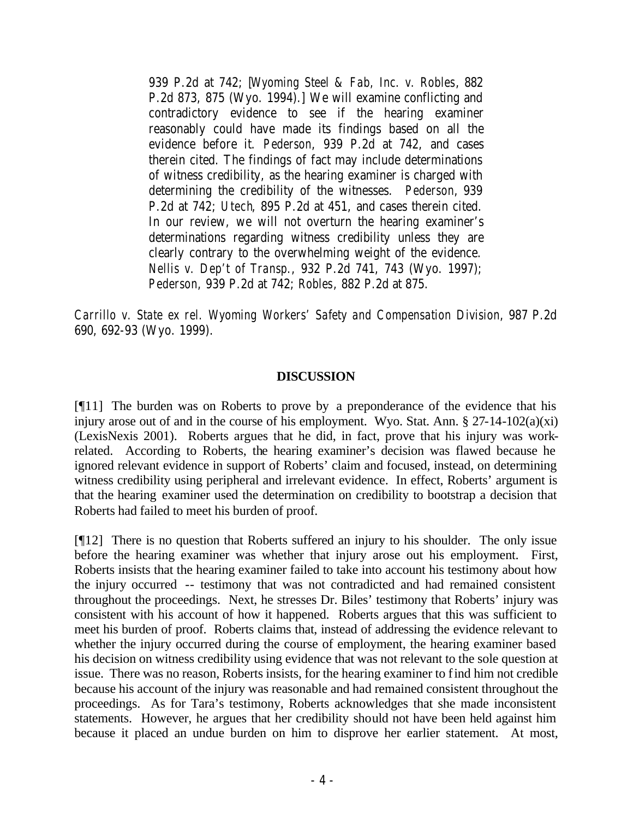939 P.2d at 742; [*Wyoming Steel & Fab, Inc. v. Robles*, 882 P.2d 873, 875 (Wyo. 1994).] We will examine conflicting and contradictory evidence to see if the hearing examiner reasonably could have made its findings based on all the evidence before it. *Pederson*, 939 P.2d at 742, and cases therein cited. The findings of fact may include determinations of witness credibility, as the hearing examiner is charged with determining the credibility of the witnesses. *Pederson*, 939 P.2d at 742; *Utech*, 895 P.2d at 451, and cases therein cited. In our review, we will not overturn the hearing examiner's determinations regarding witness credibility unless they are clearly contrary to the overwhelming weight of the evidence. *Nellis v. Dep't of Transp.*, 932 P.2d 741, 743 (Wyo. 1997); *Pederson*, 939 P.2d at 742; *Robles*, 882 P.2d at 875.

*Carrillo v. State ex rel. Wyoming Workers' Safety and Compensation Division*, 987 P.2d 690, 692-93 (Wyo. 1999).

#### **DISCUSSION**

[¶11] The burden was on Roberts to prove by a preponderance of the evidence that his injury arose out of and in the course of his employment. Wyo. Stat. Ann.  $\S 27-14-102(a)(xi)$ (LexisNexis 2001). Roberts argues that he did, in fact, prove that his injury was workrelated. According to Roberts, the hearing examiner's decision was flawed because he ignored relevant evidence in support of Roberts' claim and focused, instead, on determining witness credibility using peripheral and irrelevant evidence. In effect, Roberts' argument is that the hearing examiner used the determination on credibility to bootstrap a decision that Roberts had failed to meet his burden of proof.

[¶12] There is no question that Roberts suffered an injury to his shoulder. The only issue before the hearing examiner was whether that injury arose out his employment. First, Roberts insists that the hearing examiner failed to take into account his testimony about how the injury occurred -- testimony that was not contradicted and had remained consistent throughout the proceedings. Next, he stresses Dr. Biles' testimony that Roberts' injury was consistent with his account of how it happened. Roberts argues that this was sufficient to meet his burden of proof. Roberts claims that, instead of addressing the evidence relevant to whether the injury occurred during the course of employment, the hearing examiner based his decision on witness credibility using evidence that was not relevant to the sole question at issue. There was no reason, Roberts insists, for the hearing examiner to find him not credible because his account of the injury was reasonable and had remained consistent throughout the proceedings. As for Tara's testimony, Roberts acknowledges that she made inconsistent statements. However, he argues that her credibility should not have been held against him because it placed an undue burden on him to disprove her earlier statement. At most,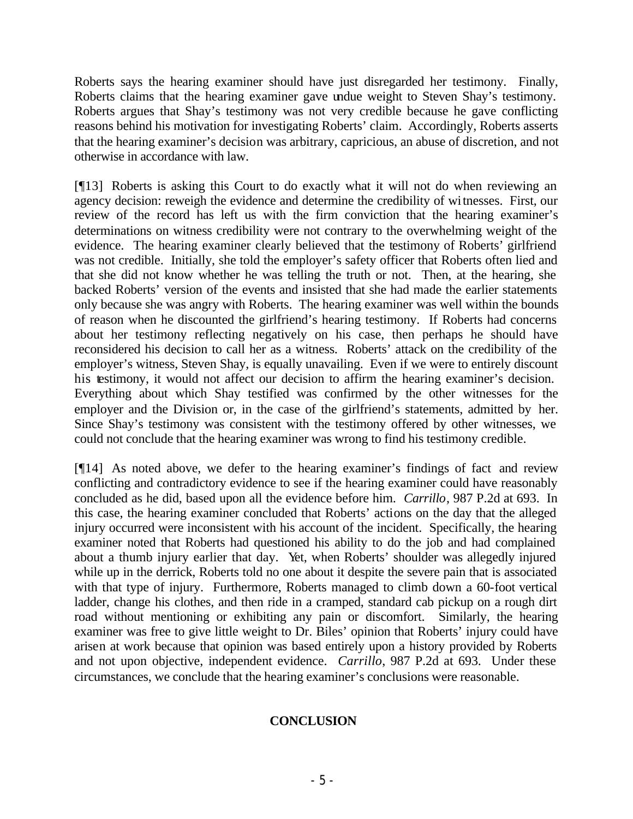Roberts says the hearing examiner should have just disregarded her testimony. Finally, Roberts claims that the hearing examiner gave undue weight to Steven Shay's testimony. Roberts argues that Shay's testimony was not very credible because he gave conflicting reasons behind his motivation for investigating Roberts' claim. Accordingly, Roberts asserts that the hearing examiner's decision was arbitrary, capricious, an abuse of discretion, and not otherwise in accordance with law.

[¶13] Roberts is asking this Court to do exactly what it will not do when reviewing an agency decision: reweigh the evidence and determine the credibility of witnesses. First, our review of the record has left us with the firm conviction that the hearing examiner's determinations on witness credibility were not contrary to the overwhelming weight of the evidence. The hearing examiner clearly believed that the testimony of Roberts' girlfriend was not credible. Initially, she told the employer's safety officer that Roberts often lied and that she did not know whether he was telling the truth or not. Then, at the hearing, she backed Roberts' version of the events and insisted that she had made the earlier statements only because she was angry with Roberts. The hearing examiner was well within the bounds of reason when he discounted the girlfriend's hearing testimony. If Roberts had concerns about her testimony reflecting negatively on his case, then perhaps he should have reconsidered his decision to call her as a witness. Roberts' attack on the credibility of the employer's witness, Steven Shay, is equally unavailing. Even if we were to entirely discount his testimony, it would not affect our decision to affirm the hearing examiner's decision. Everything about which Shay testified was confirmed by the other witnesses for the employer and the Division or, in the case of the girlfriend's statements, admitted by her. Since Shay's testimony was consistent with the testimony offered by other witnesses, we could not conclude that the hearing examiner was wrong to find his testimony credible.

[¶14] As noted above, we defer to the hearing examiner's findings of fact and review conflicting and contradictory evidence to see if the hearing examiner could have reasonably concluded as he did, based upon all the evidence before him. *Carrillo*, 987 P.2d at 693. In this case, the hearing examiner concluded that Roberts' actions on the day that the alleged injury occurred were inconsistent with his account of the incident. Specifically, the hearing examiner noted that Roberts had questioned his ability to do the job and had complained about a thumb injury earlier that day. Yet, when Roberts' shoulder was allegedly injured while up in the derrick, Roberts told no one about it despite the severe pain that is associated with that type of injury. Furthermore, Roberts managed to climb down a 60-foot vertical ladder, change his clothes, and then ride in a cramped, standard cab pickup on a rough dirt road without mentioning or exhibiting any pain or discomfort. Similarly, the hearing examiner was free to give little weight to Dr. Biles' opinion that Roberts' injury could have arisen at work because that opinion was based entirely upon a history provided by Roberts and not upon objective, independent evidence. *Carrillo*, 987 P.2d at 693. Under these circumstances, we conclude that the hearing examiner's conclusions were reasonable.

### **CONCLUSION**